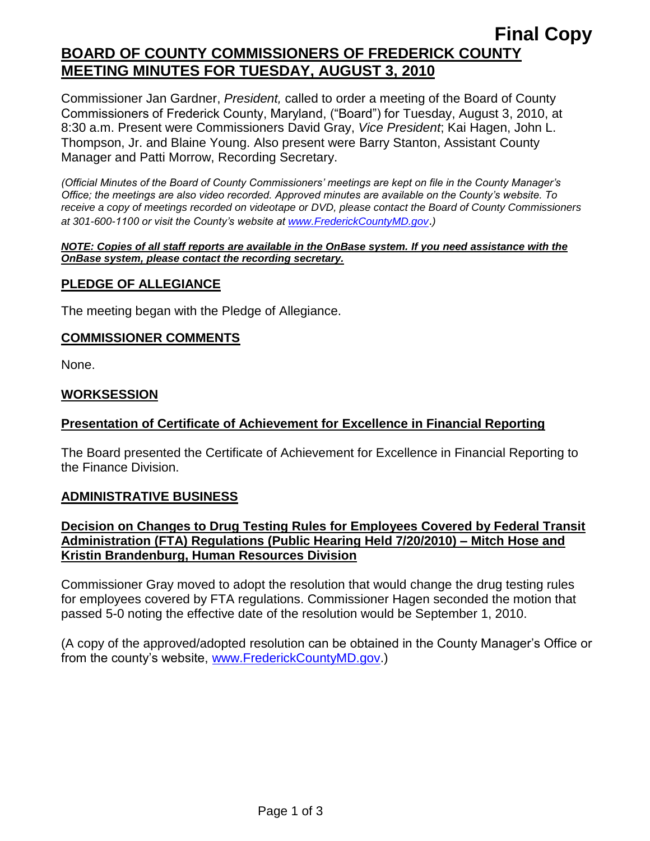# **Final Copy BOARD OF COUNTY COMMISSIONERS OF FREDERICK COUNTY MEETING MINUTES FOR TUESDAY, AUGUST 3, 2010**

Commissioner Jan Gardner, *President,* called to order a meeting of the Board of County Commissioners of Frederick County, Maryland, ("Board") for Tuesday, August 3, 2010, at 8:30 a.m. Present were Commissioners David Gray, *Vice President*; Kai Hagen, John L. Thompson, Jr. and Blaine Young. Also present were Barry Stanton, Assistant County Manager and Patti Morrow, Recording Secretary.

*(Official Minutes of the Board of County Commissioners' meetings are kept on file in the County Manager's Office; the meetings are also video recorded. Approved minutes are available on the County's website. To receive a copy of meetings recorded on videotape or DVD, please contact the Board of County Commissioners at 301-600-1100 or visit the County's website at [www.FrederickCountyMD.gov](http://www.frederickcountymd.gov/)*.*)*

#### *NOTE: Copies of all staff reports are available in the OnBase system. If you need assistance with the OnBase system, please contact the recording secretary.*

# **PLEDGE OF ALLEGIANCE**

The meeting began with the Pledge of Allegiance.

#### **COMMISSIONER COMMENTS**

None.

#### **WORKSESSION**

# **Presentation of Certificate of Achievement for Excellence in Financial Reporting**

The Board presented the Certificate of Achievement for Excellence in Financial Reporting to the Finance Division.

# **ADMINISTRATIVE BUSINESS**

# **Decision on Changes to Drug Testing Rules for Employees Covered by Federal Transit Administration (FTA) Regulations (Public Hearing Held 7/20/2010) – Mitch Hose and Kristin Brandenburg, Human Resources Division**

Commissioner Gray moved to adopt the resolution that would change the drug testing rules for employees covered by FTA regulations. Commissioner Hagen seconded the motion that passed 5-0 noting the effective date of the resolution would be September 1, 2010.

(A copy of the approved/adopted resolution can be obtained in the County Manager's Office or from the county's website, [www.FrederickCountyMD.gov.](http://www.frederickcountymd.gov/))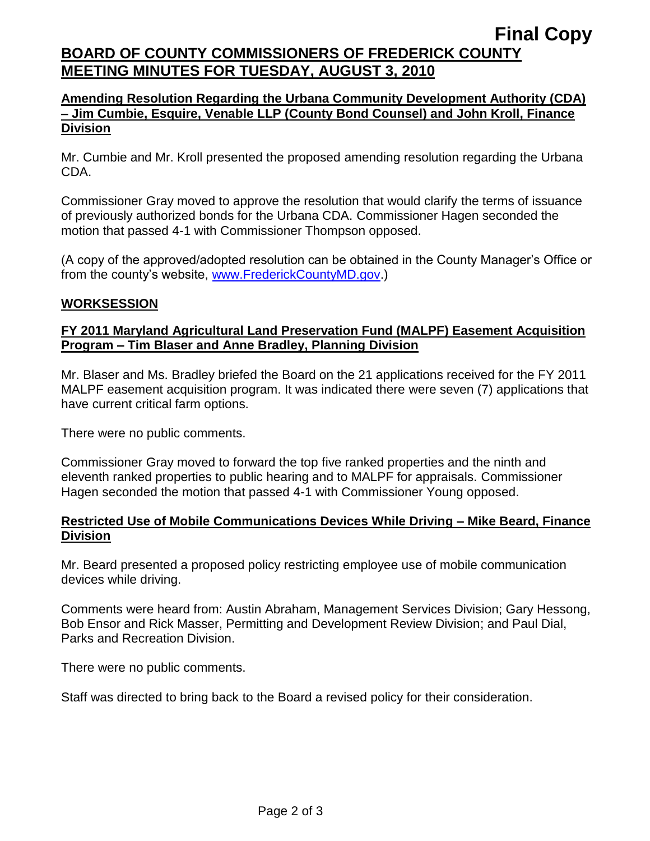# **Final Copy BOARD OF COUNTY COMMISSIONERS OF FREDERICK COUNTY MEETING MINUTES FOR TUESDAY, AUGUST 3, 2010**

# **Amending Resolution Regarding the Urbana Community Development Authority (CDA) – Jim Cumbie, Esquire, Venable LLP (County Bond Counsel) and John Kroll, Finance Division**

Mr. Cumbie and Mr. Kroll presented the proposed amending resolution regarding the Urbana CDA.

Commissioner Gray moved to approve the resolution that would clarify the terms of issuance of previously authorized bonds for the Urbana CDA. Commissioner Hagen seconded the motion that passed 4-1 with Commissioner Thompson opposed.

(A copy of the approved/adopted resolution can be obtained in the County Manager's Office or from the county's website, [www.FrederickCountyMD.gov.](http://www.frederickcountymd.gov/))

# **WORKSESSION**

# **FY 2011 Maryland Agricultural Land Preservation Fund (MALPF) Easement Acquisition Program – Tim Blaser and Anne Bradley, Planning Division**

Mr. Blaser and Ms. Bradley briefed the Board on the 21 applications received for the FY 2011 MALPF easement acquisition program. It was indicated there were seven (7) applications that have current critical farm options.

There were no public comments.

Commissioner Gray moved to forward the top five ranked properties and the ninth and eleventh ranked properties to public hearing and to MALPF for appraisals. Commissioner Hagen seconded the motion that passed 4-1 with Commissioner Young opposed.

# **Restricted Use of Mobile Communications Devices While Driving – Mike Beard, Finance Division**

Mr. Beard presented a proposed policy restricting employee use of mobile communication devices while driving.

Comments were heard from: Austin Abraham, Management Services Division; Gary Hessong, Bob Ensor and Rick Masser, Permitting and Development Review Division; and Paul Dial, Parks and Recreation Division.

There were no public comments.

Staff was directed to bring back to the Board a revised policy for their consideration.